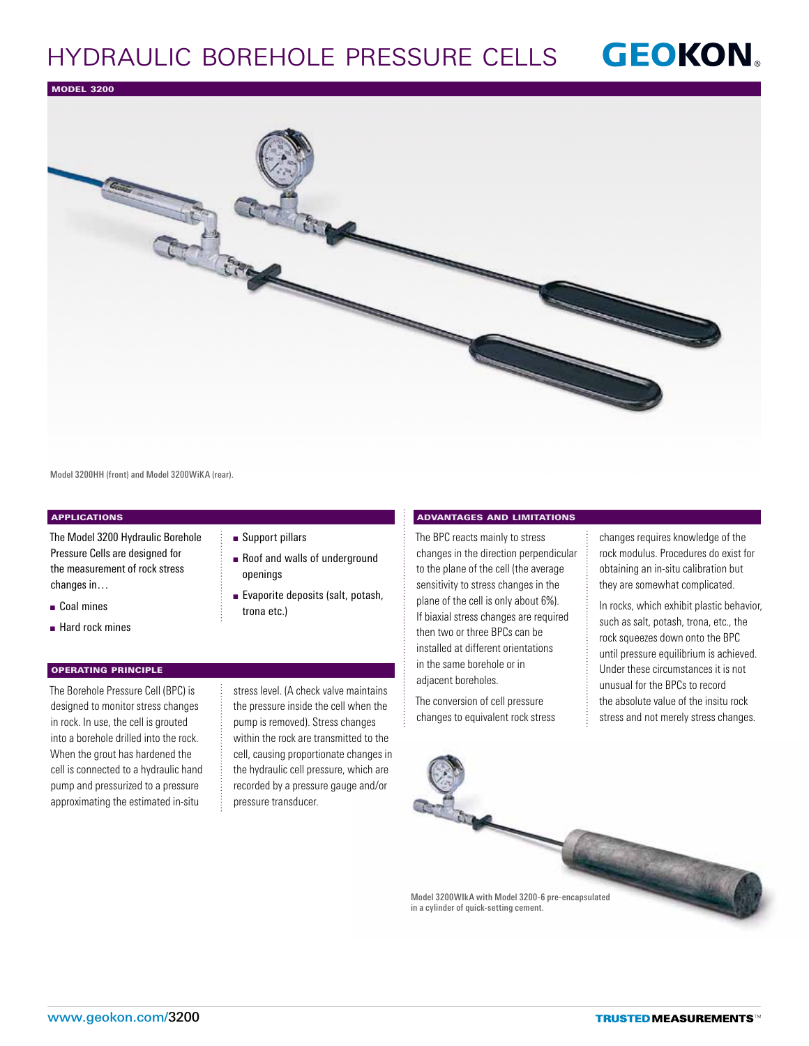# **GEOKON** Hydraulic Borehole Pressure Cells

Model 3200



Model 3200HH (front) and Model 3200WiKA (rear).

## **APPLICATIONS**

The Model 3200 Hydraulic Borehole Pressure Cells are designed for the measurement of rock stress changes in…

- **n** Coal mines
- $\blacksquare$  Hard rock mines

### Operating Principle

The Borehole Pressure Cell (BPC) is designed to monitor stress changes in rock. In use, the cell is grouted into a borehole drilled into the rock. When the grout has hardened the cell is connected to a hydraulic hand pump and pressurized to a pressure approximating the estimated in-situ

# ■ Support pillars

- Roof and walls of underground openings
- Evaporite deposits (salt, potash, trona etc.)

stress level. (A check valve maintains the pressure inside the cell when the pump is removed). Stress changes within the rock are transmitted to the cell, causing proportionate changes in the hydraulic cell pressure, which are recorded by a pressure gauge and/or pressure transducer.

### Advantages and Limitations

The BPC reacts mainly to stress changes in the direction perpendicular to the plane of the cell (the average sensitivity to stress changes in the plane of the cell is only about 6%). If biaxial stress changes are required then two or three BPCs can be installed at different orientations in the same borehole or in adjacent boreholes.

The conversion of cell pressure changes to equivalent rock stress changes requires knowledge of the rock modulus. Procedures do exist for obtaining an in-situ calibration but they are somewhat complicated.

In rocks, which exhibit plastic behavior, such as salt, potash, trona, etc., the rock squeezes down onto the BPC until pressure equilibrium is achieved. Under these circumstances it is not unusual for the BPCs to record the absolute value of the insitu rock stress and not merely stress changes.

Model 3200WIkA with Model 3200-6 pre-encapsulated in a cylinder of quick-setting cement.